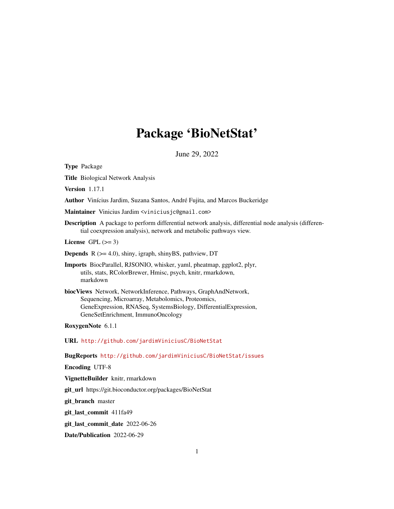# Package 'BioNetStat'

June 29, 2022

Type Package

Title Biological Network Analysis

Version 1.17.1

Author Vinícius Jardim, Suzana Santos, André Fujita, and Marcos Buckeridge

Maintainer Vinicius Jardim <viniciusjc@gmail.com>

Description A package to perform differential network analysis, differential node analysis (differential coexpression analysis), network and metabolic pathways view.

License GPL  $(>= 3)$ 

Depends R (>= 4.0), shiny, igraph, shinyBS, pathview, DT

Imports BiocParallel, RJSONIO, whisker, yaml, pheatmap, ggplot2, plyr, utils, stats, RColorBrewer, Hmisc, psych, knitr, rmarkdown, markdown

biocViews Network, NetworkInference, Pathways, GraphAndNetwork, Sequencing, Microarray, Metabolomics, Proteomics, GeneExpression, RNASeq, SystemsBiology, DifferentialExpression, GeneSetEnrichment, ImmunoOncology

RoxygenNote 6.1.1

URL <http://github.com/jardimViniciusC/BioNetStat>

BugReports <http://github.com/jardimViniciusC/BioNetStat/issues>

Encoding UTF-8

VignetteBuilder knitr, rmarkdown

git\_url https://git.bioconductor.org/packages/BioNetStat

git\_branch master

git\_last\_commit 411fa49

git\_last\_commit\_date 2022-06-26

Date/Publication 2022-06-29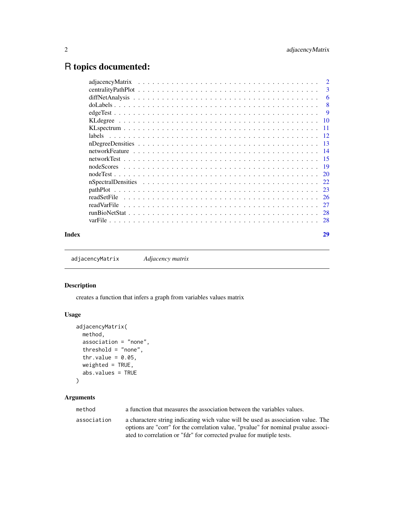# <span id="page-1-0"></span>R topics documented:

|       |             | -6 |
|-------|-------------|----|
|       |             | -8 |
|       |             |    |
|       |             |    |
|       |             |    |
|       | labels      |    |
|       |             |    |
|       |             |    |
|       |             |    |
|       |             |    |
|       |             |    |
|       |             |    |
|       |             |    |
|       |             |    |
|       | readVarFile |    |
|       |             |    |
|       |             |    |
| Index |             | 29 |

adjacencyMatrix *Adjacency matrix*

# Description

creates a function that infers a graph from variables values matrix

# Usage

```
adjacencyMatrix(
 method,
 association = "none",
 threshold = "none",
 thr.value = 0.05,
 weighted = TRUE,abs.values = TRUE
```
# )

| method      | a function that measures the association between the variables values.                                                                                                                                                                        |
|-------------|-----------------------------------------------------------------------------------------------------------------------------------------------------------------------------------------------------------------------------------------------|
| association | a charactere string indicating wich value will be used as association value. The<br>options are "corr" for the correlation value, "pvalue" for nominal pvalue associ-<br>ated to correlation or "fdr" for corrected pvalue for mutiple tests. |
|             |                                                                                                                                                                                                                                               |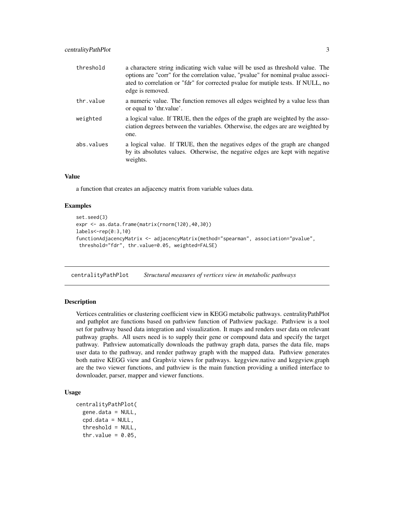<span id="page-2-0"></span>

| threshold  | a charactere string indicating wich value will be used as threshold value. The<br>options are "corr" for the correlation value, "pvalue" for nominal pvalue associ-<br>ated to correlation or "fdr" for corrected pvalue for mutiple tests. If NULL, no<br>edge is removed. |
|------------|-----------------------------------------------------------------------------------------------------------------------------------------------------------------------------------------------------------------------------------------------------------------------------|
| thr.value  | a numeric value. The function removes all edges weighted by a value less than<br>or equal to 'thr. value'.                                                                                                                                                                  |
| weighted   | a logical value. If TRUE, then the edges of the graph are weighted by the asso-<br>ciation degrees between the variables. Otherwise, the edges are are weighted by<br>one.                                                                                                  |
| abs.values | a logical value. If TRUE, then the negatives edges of the graph are changed<br>by its absolutes values. Otherwise, the negative edges are kept with negative<br>weights.                                                                                                    |

# Value

a function that creates an adjacency matrix from variable values data.

#### Examples

```
set.seed(3)
expr <- as.data.frame(matrix(rnorm(120),40,30))
labels<-rep(0:3,10)
functionAdjacencyMatrix <- adjacencyMatrix(method="spearman", association="pvalue",
threshold="fdr", thr.value=0.05, weighted=FALSE)
```
centralityPathPlot *Structural measures of vertices view in metabolic pathways*

### Description

Vertices centralities or clustering coefficient view in KEGG metabolic pathways. centralityPathPlot and pathplot are functions based on pathview function of Pathview package. Pathview is a tool set for pathway based data integration and visualization. It maps and renders user data on relevant pathway graphs. All users need is to supply their gene or compound data and specify the target pathway. Pathview automatically downloads the pathway graph data, parses the data file, maps user data to the pathway, and render pathway graph with the mapped data. Pathview generates both native KEGG view and Graphviz views for pathways. keggview.native and keggview.graph are the two viewer functions, and pathview is the main function providing a unified interface to downloader, parser, mapper and viewer functions.

#### Usage

```
centralityPathPlot(
  gene.data = NULL,
  cpd.data = NULL,threshold = NULL,
  thr.value = 0.05,
```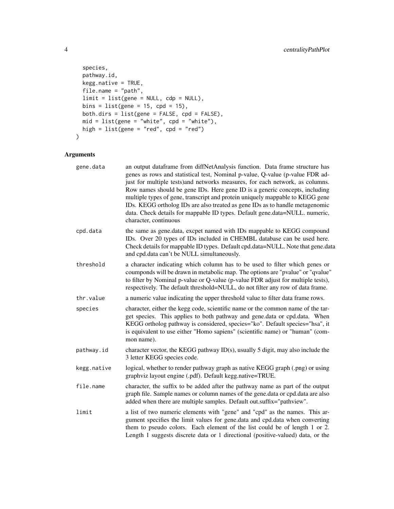```
species,
 pathway.id,
 kegg.native = TRUE,
 file.name = "path",
 limit = list(gene = NULL, cdp = NULL),
 bins = list(gene = 15, cpd = 15),
 both.dirs = list(gene = FALSE, cpd = FALSE),
 mid = list(gene = "white", cpd = "white"),
 high = list(gene = "red", cpd = "red")\mathcal{L}
```

| gene.data   | an output dataframe from diffNetAnalysis function. Data frame structure has<br>genes as rows and statistical test, Nominal p-value, Q-value (p-value FDR ad-<br>just for multiple tests) and networks measures, for each network, as columns.<br>Row names should be gene IDs. Here gene ID is a generic concepts, including<br>multiple types of gene, transcript and protein uniquely mappable to KEGG gene<br>IDs. KEGG ortholog IDs are also treated as gene IDs as to handle metagenomic<br>data. Check details for mappable ID types. Default gene.data=NULL. numeric,<br>character, continuous |
|-------------|-------------------------------------------------------------------------------------------------------------------------------------------------------------------------------------------------------------------------------------------------------------------------------------------------------------------------------------------------------------------------------------------------------------------------------------------------------------------------------------------------------------------------------------------------------------------------------------------------------|
| cpd.data    | the same as gene.data, excpet named with IDs mappable to KEGG compound<br>IDs. Over 20 types of IDs included in CHEMBL database can be used here.<br>Check details for mappable ID types. Default cpd.data=NULL. Note that gene.data<br>and cpd.data can't be NULL simultaneously.                                                                                                                                                                                                                                                                                                                    |
| threshold   | a character indicating which column has to be used to filter which genes or<br>coumponds will be drawn in metabolic map. The options are "pvalue" or "qvalue"<br>to filter by Nominal p-value or Q-value (p-value FDR adjust for multiple tests),<br>respectively. The default threshold=NULL, do not filter any row of data frame.                                                                                                                                                                                                                                                                   |
| thr.value   | a numeric value indicating the upper threshold value to filter data frame rows.                                                                                                                                                                                                                                                                                                                                                                                                                                                                                                                       |
| species     | character, either the kegg code, scientific name or the common name of the tar-<br>get species. This applies to both pathway and gene.data or cpd.data. When<br>KEGG ortholog pathway is considered, species="ko". Default species="hsa", it<br>is equivalent to use either "Homo sapiens" (scientific name) or "human" (com-<br>mon name).                                                                                                                                                                                                                                                           |
| pathway.id  | character vector, the KEGG pathway ID(s), usually 5 digit, may also include the<br>3 letter KEGG species code.                                                                                                                                                                                                                                                                                                                                                                                                                                                                                        |
| kegg.native | logical, whether to render pathway graph as native KEGG graph (.png) or using<br>graphviz layout engine (.pdf). Default kegg.native=TRUE.                                                                                                                                                                                                                                                                                                                                                                                                                                                             |
| file.name   | character, the suffix to be added after the pathway name as part of the output<br>graph file. Sample names or column names of the gene.data or cpd.data are also<br>added when there are multiple samples. Default out.suffix="pathview".                                                                                                                                                                                                                                                                                                                                                             |
| limit       | a list of two numeric elements with "gene" and "cpd" as the names. This ar-<br>gument specifies the limit values for gene.data and cpd.data when converting<br>them to pseudo colors. Each element of the list could be of length 1 or 2.<br>Length 1 suggests discrete data or 1 directional (positive-valued) data, or the                                                                                                                                                                                                                                                                          |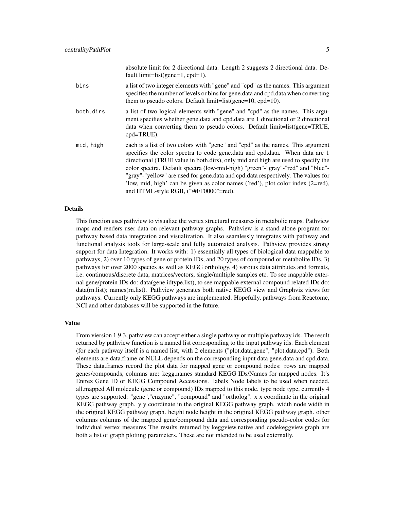|           | absolute limit for 2 directional data. Length 2 suggests 2 directional data. De-<br>fault limit=list(gene=1, $cpd=1$ ).                                                                                                                                                                                                                                                                                                                                                                                                                             |
|-----------|-----------------------------------------------------------------------------------------------------------------------------------------------------------------------------------------------------------------------------------------------------------------------------------------------------------------------------------------------------------------------------------------------------------------------------------------------------------------------------------------------------------------------------------------------------|
| bins      | a list of two integer elements with "gene" and "cpd" as the names. This argument<br>specifies the number of levels or bins for gene. data and cpd. data when converting<br>them to pseudo colors. Default limit=list(gene= $10$ , cpd= $10$ ).                                                                                                                                                                                                                                                                                                      |
| both.dirs | a list of two logical elements with "gene" and "cpd" as the names. This argu-<br>ment specifies whether gene.data and cpd.data are 1 directional or 2 directional<br>data when converting them to pseudo colors. Default limit=list(gene=TRUE,<br>cpd=TRUE).                                                                                                                                                                                                                                                                                        |
| mid, high | each is a list of two colors with "gene" and "cpd" as the names. This argument<br>specifies the color spectra to code gene.data and cpd.data. When data are 1<br>directional (TRUE value in both.dirs), only mid and high are used to specify the<br>color spectra. Default spectra (low-mid-high) "green"-"gray"-"red" and "blue"-<br>"gray"-"yellow" are used for gene.data and cpd.data respectively. The values for<br>'low, mid, high' can be given as color names ('red'), plot color index (2=red),<br>and HTML-style RGB, ("\#FF0000"=red). |

#### Details

This function uses pathview to visualize the vertex structural measures in metabolic maps. Pathview maps and renders user data on relevant pathway graphs. Pathview is a stand alone program for pathway based data integration and visualization. It also seamlessly integrates with pathway and functional analysis tools for large-scale and fully automated analysis. Pathview provides strong support for data Integration. It works with: 1) essentially all types of biological data mappable to pathways, 2) over 10 types of gene or protein IDs, and 20 types of compound or metabolite IDs, 3) pathways for over 2000 species as well as KEGG orthology, 4) varoius data attributes and formats, i.e. continuous/discrete data, matrices/vectors, single/multiple samples etc. To see mappable external gene/protein IDs do: data(gene.idtype.list), to see mappable external compound related IDs do: data(rn.list); names(rn.list). Pathview generates both native KEGG view and Graphviz views for pathways. Currently only KEGG pathways are implemented. Hopefully, pathways from Reactome, NCI and other databases will be supported in the future.

#### Value

From viersion 1.9.3, pathview can accept either a single pathway or multiple pathway ids. The result returned by pathview function is a named list corresponding to the input pathway ids. Each element (for each pathway itself is a named list, with 2 elements ("plot.data.gene", "plot.data.cpd"). Both elements are data.frame or NULL depends on the corresponding input data gene.data and cpd.data. These data.frames record the plot data for mapped gene or compound nodes: rows are mapped genes/compounds, columns are: kegg.names standard KEGG IDs/Names for mapped nodes. It's Entrez Gene ID or KEGG Compound Accessions. labels Node labels to be used when needed. all.mapped All molecule (gene or compound) IDs mapped to this node. type node type, currently 4 types are supported: "gene","enzyme", "compound" and "ortholog". x x coordinate in the original KEGG pathway graph. y y coordinate in the original KEGG pathway graph. width node width in the original KEGG pathway graph. height node height in the original KEGG pathway graph. other columns columns of the mapped gene/compound data and corresponding pseudo-color codes for individual vertex measures The results returned by keggview.native and codekeggview.graph are both a list of graph plotting parameters. These are not intended to be used externally.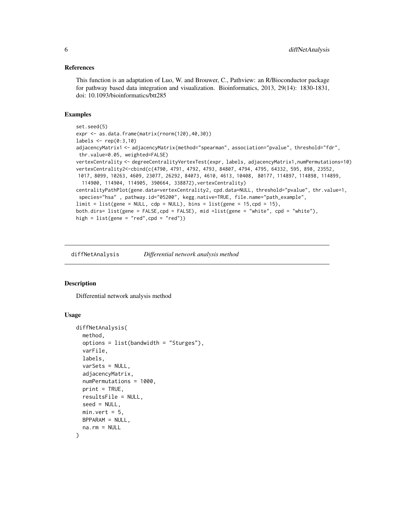#### <span id="page-5-0"></span>References

This function is an adaptation of Luo, W. and Brouwer, C., Pathview: an R/Bioconductor package for pathway based data integration and visualization. Bioinformatics, 2013, 29(14): 1830-1831, doi: 10.1093/bioinformatics/btt285

#### Examples

```
set.seed(5)
expr <- as.data.frame(matrix(rnorm(120),40,30))
labels \leq rep(0:3,10)
adjacencyMatrix1 <- adjacencyMatrix(method="spearman", association="pvalue", threshold="fdr",
thr.value=0.05, weighted=FALSE)
vertexCentrality <- degreeCentralityVertexTest(expr, labels, adjacencyMatrix1,numPermutations=10)
vertexCentrality2<-cbind(c(4790, 4791, 4792, 4793, 84807, 4794, 4795, 64332, 595, 898, 23552,
1017, 8099, 10263, 4609, 23077, 26292, 84073, 4610, 4613, 10408, 80177, 114897, 114898, 114899,
 114900, 114904, 114905, 390664, 338872),vertexCentrality)
centralityPathPlot(gene.data=vertexCentrality2, cpd.data=NULL, threshold="pvalue", thr.value=1,
species="hsa" , pathway.id="05200", kegg.native=TRUE, file.name="path_example",
limit = list(gene = NULL, cdp = NULL), bins = list(gene = 15, cpd = 15),both.dirs= list(gene = FALSE,cpd = FALSE), mid =list(gene = "white", cpd = "white"),
high = list(gene = "red", cpd = "red")
```
diffNetAnalysis *Differential network analysis method*

#### Description

Differential network analysis method

#### Usage

```
diffNetAnalysis(
  method,
  options = list(bandwidth = "Sturges"),
  varFile,
  labels,
  varSets = NULL,
  adjacencyMatrix,
  numPermutations = 1000,
 print = TRUE,
  resultsFile = NULL,
  seed = NULL,
 min.vert = 5.
 BPPARAM = NULL,
  na.rm = NULL
)
```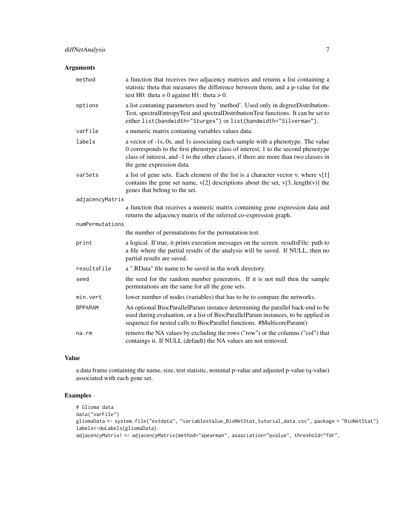# diffNetAnalysis 7

# Arguments

| method          | a function that receives two adjacency matrices and returns a list containing a<br>statistic theta that measures the difference between them, and a p-value for the<br>test H0: theta = 0 against H1: theta > 0.                                                                           |
|-----------------|--------------------------------------------------------------------------------------------------------------------------------------------------------------------------------------------------------------------------------------------------------------------------------------------|
| options         | a list contaning parameters used by 'method'. Used only in degreeDistribution-<br>Test, spectralEntropyTest and spectralDistributionTest functions. It can be set to<br>either list(bandwidth="Sturges") or list(bandwidth="Silverman").                                                   |
| varFile         | a numeric matrix contaning variables values data.                                                                                                                                                                                                                                          |
| labels          | a vector of -1s, 0s, and 1s associating each sample with a phenotype. The value<br>0 corresponds to the first phenotype class of interest, 1 to the second phenotype<br>class of interest, and -1 to the other classes, if there are more than two classes in<br>the gene expression data. |
| varSets         | a list of gene sets. Each element of the list is a character vector v, where $v[1]$<br>contains the gene set name, $v[2]$ descriptions about the set, $v[3length(v)]$ the<br>genes that belong to the set.                                                                                 |
| adjacencyMatrix |                                                                                                                                                                                                                                                                                            |
|                 | a function that receives a numeric matrix containing gene expression data and<br>returns the adjacency matrix of the inferred co-expression graph.                                                                                                                                         |
| numPermutations |                                                                                                                                                                                                                                                                                            |
|                 | the number of permutations for the permutation test.                                                                                                                                                                                                                                       |
| print           | a logical. If true, it prints execution messages on the screen. results File: path to<br>a file where the partial results of the analysis will be saved. If NULL, then no<br>partial results are saved.                                                                                    |
| resultsFile     | a ".RData" file name to be saved in tha work directory.                                                                                                                                                                                                                                    |
| seed            | the seed for the random number generators. If it is not null then the sample<br>permutations are the same for all the gene sets.                                                                                                                                                           |
| min.vert        | lower number of nodes (variables) that has to be to compare the networks.                                                                                                                                                                                                                  |
| <b>BPPARAM</b>  | An optional BiocParallelParam instance determining the parallel back-end to be<br>used during evaluation, or a list of BiocParallelParam instances, to be applied in<br>sequence for nested calls to BiocParallel functions. #MulticoreParam()                                             |
| na.rm           | remove the NA values by excluding the rows ("row") or the columns ("col") that<br>contaings it. If NULL (default) the NA values are not removed.                                                                                                                                           |

# Value

a data frame containing the name, size, test statistic, nominal p-value and adjusted p-value (q-value) associated with each gene set.

```
# Glioma data
data("varFile")
gliomaData <- system.file("extdata", "variablesValue_BioNetStat_tutorial_data.csv", package = "BioNetStat")
labels<-doLabels(gliomaData)
adjacencyMatrix1 <- adjacencyMatrix(method="spearman", association="pvalue", threshold="fdr",
```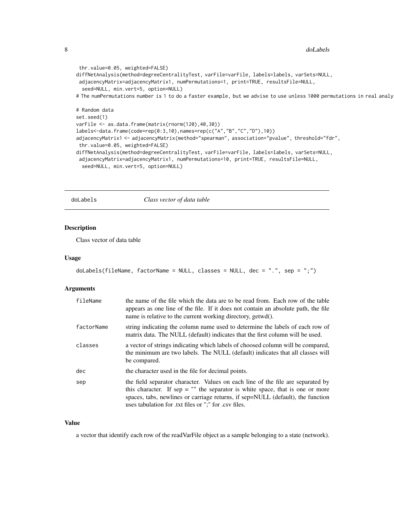```
thr.value=0.05, weighted=FALSE)
diffNetAnalysis(method=degreeCentralityTest, varFile=varFile, labels=labels, varSets=NULL,
adjacencyMatrix=adjacencyMatrix1, numPermutations=1, print=TRUE, resultsFile=NULL,
 seed=NULL, min.vert=5, option=NULL)
# The numPermutations number is 1 to do a faster example, but we advise to use unless 1000 permutations in real analy
# Random data
set.seed(1)
varFile <- as.data.frame(matrix(rnorm(120),40,30))
labels<-data.frame(code=rep(0:3,10),names=rep(c("A","B","C","D"),10))
adjacencyMatrix1 <- adjacencyMatrix(method="spearman", association="pvalue", threshold="fdr",
thr.value=0.05, weighted=FALSE)
diffNetAnalysis(method=degreeCentralityTest, varFile=varFile, labels=labels, varSets=NULL,
 adjacencyMatrix=adjacencyMatrix1, numPermutations=10, print=TRUE, resultsFile=NULL,
```

```
seed=NULL, min.vert=5, option=NULL)
```
#### doLabels *Class vector of data table*

# Description

Class vector of data table

# Usage

```
doLabels(fileName, factorName = NULL, classes = NULL, dec = ".", sep = ";")
```
#### Arguments

| fileName   | the name of the file which the data are to be read from. Each row of the table<br>appears as one line of the file. If it does not contain an absolute path, the file<br>name is relative to the current working directory, getwd().                                                                            |
|------------|----------------------------------------------------------------------------------------------------------------------------------------------------------------------------------------------------------------------------------------------------------------------------------------------------------------|
| factorName | string indicating the column name used to determine the labels of each row of<br>matrix data. The NULL (default) indicates that the first column will be used.                                                                                                                                                 |
| classes    | a vector of strings indicating which labels of choosed column will be compared,<br>the minimum are two labels. The NULL (default) indicates that all classes will<br>be compared.                                                                                                                              |
| dec        | the character used in the file for decimal points.                                                                                                                                                                                                                                                             |
| sep        | the field separator character. Values on each line of the file are separated by<br>this character. If sep $=$ "" the separator is white space, that is one or more<br>spaces, tabs, newlines or carriage returns, if sep=NULL (default), the function<br>uses tabulation for .txt files or ";" for .csv files. |

#### Value

a vector that identify each row of the readVarFile object as a sample belonging to a state (network).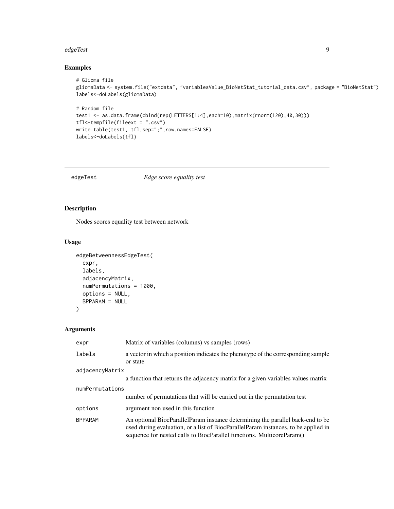#### <span id="page-8-0"></span>edgeTest 9

# Examples

```
# Glioma file
gliomaData <- system.file("extdata", "variablesValue_BioNetStat_tutorial_data.csv", package = "BioNetStat")
labels<-doLabels(gliomaData)
# Random file
test1 <- as.data.frame(cbind(rep(LETTERS[1:4],each=10),matrix(rnorm(120),40,30)))
tfl<-tempfile(fileext = ".csv")
write.table(test1, tfl,sep=";",row.names=FALSE)
labels<-doLabels(tfl)
```
edgeTest *Edge score equality test*

# Description

Nodes scores equality test between network

#### Usage

```
edgeBetweennessEdgeTest(
  expr,
  labels,
  adjacencyMatrix,
 numPermutations = 1000,
 options = NULL,
 BPPARAM = NULL
\lambda
```

| expr            | Matrix of variables (columns) vs samples (rows)                                                                                                                                                                                               |  |
|-----------------|-----------------------------------------------------------------------------------------------------------------------------------------------------------------------------------------------------------------------------------------------|--|
| labels          | a vector in which a position indicates the phenotype of the corresponding sample<br>or state                                                                                                                                                  |  |
| adjacencyMatrix |                                                                                                                                                                                                                                               |  |
|                 | a function that returns the adjacency matrix for a given variables values matrix                                                                                                                                                              |  |
| numPermutations |                                                                                                                                                                                                                                               |  |
|                 | number of permutations that will be carried out in the permutation test                                                                                                                                                                       |  |
| options         | argument non used in this function                                                                                                                                                                                                            |  |
| <b>BPPARAM</b>  | An optional BiocParallelParam instance determining the parallel back-end to be<br>used during evaluation, or a list of BiocParallelParam instances, to be applied in<br>sequence for nested calls to BiocParallel functions. MulticoreParam() |  |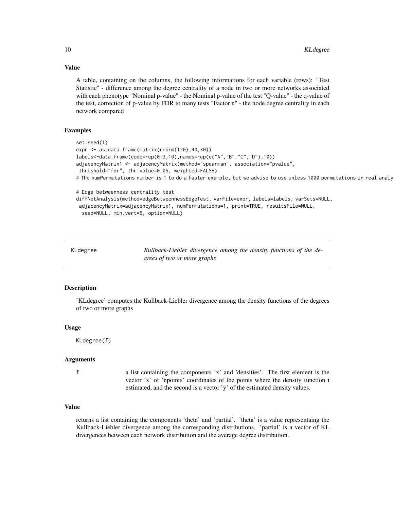A table, containing on the columns, the following informations for each variable (rows): "Test Statistic" - difference among the degree centrality of a node in two or more networks associated with each phenotype "Nominal p-value" - the Nominal p-value of the test "Q-value" - the q-value of the test, correction of p-value by FDR to many tests "Factor n" - the node degree centrality in each network compared

#### Examples

```
set.seed(1)
expr <- as.data.frame(matrix(rnorm(120),40,30))
labels<-data.frame(code=rep(0:3,10),names=rep(c("A","B","C","D"),10))
adjacencyMatrix1 <- adjacencyMatrix(method="spearman", association="pvalue",
threshold="fdr", thr.value=0.05, weighted=FALSE)
# The numPermutations number is 1 to do a faster example, but we advise to use unless 1000 permutations in real analy
# Edge betweenness centrality test
diffNetAnalysis(method=edgeBetweennessEdgeTest, varFile=expr, labels=labels, varSets=NULL,
 adjacencyMatrix=adjacencyMatrix1, numPermutations=1, print=TRUE, resultsFile=NULL,
```

```
seed=NULL, min.vert=5, option=NULL)
```

| KLdegree | Kullback-Liebler divergence among the density functions of the de- |
|----------|--------------------------------------------------------------------|
|          | grees of two or more graphs                                        |

#### Description

'KLdegree' computes the Kullback-Liebler divergence among the density functions of the degrees of two or more graphs

#### Usage

```
KLdegree(f)
```
# Arguments

f a list containing the components 'x' and 'densities'. The first element is the vector 'x' of 'npoints' coordinates of the points where the density function i estimated, and the second is a vector 'y' of the estimated density values.

#### Value

returns a list containing the components 'theta' and 'partial'. 'theta' is a value representaing the Kullback-Liebler divergence among the corresponding distributions. 'partial' is a vector of KL divergences between each network distribuiton and the average degree distribution.

<span id="page-9-0"></span>

# Value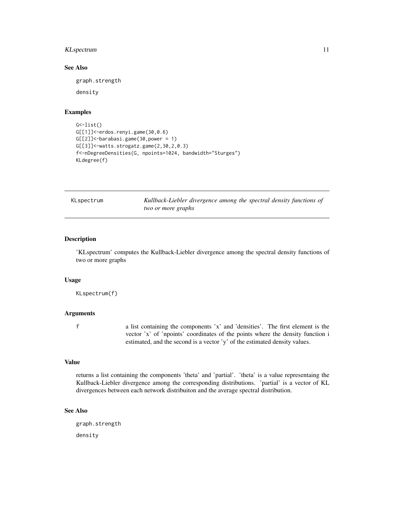# <span id="page-10-0"></span>KLspectrum 11

# See Also

graph.strength

density

#### Examples

```
G \leq -list()G[[1]]<-erdos.renyi.game(30,0.6)
G[[2]] <-barabasi.game(30, power = 1)
G[[3]]<-watts.strogatz.game(2,30,2,0.3)
f<-nDegreeDensities(G, npoints=1024, bandwidth="Sturges")
KLdegree(f)
```
KLspectrum *Kullback-Liebler divergence among the spectral density functions of two or more graphs*

#### Description

'KLspectrum' computes the Kullback-Liebler divergence among the spectral density functions of two or more graphs

#### Usage

KLspectrum(f)

# Arguments

f a list containing the components 'x' and 'densities'. The first element is the vector 'x' of 'npoints' coordinates of the points where the density function i estimated, and the second is a vector 'y' of the estimated density values.

#### Value

returns a list containing the components 'theta' and 'partial'. 'theta' is a value representaing the Kullback-Liebler divergence among the corresponding distributions. 'partial' is a vector of KL divergences between each network distribuiton and the average spectral distribution.

# See Also

graph.strength density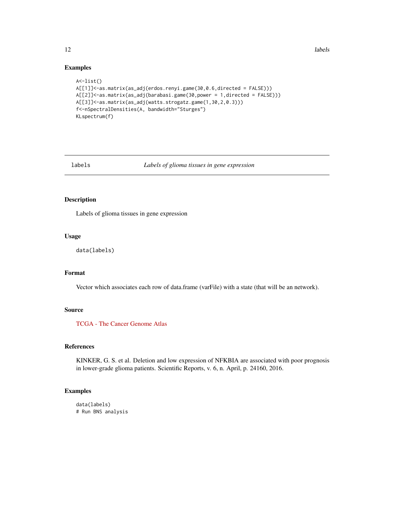<span id="page-11-0"></span>12 labels and the set of the set of the set of the set of the set of the set of the set of the set of the set of the set of the set of the set of the set of the set of the set of the set of the set of the set of the set of

#### Examples

```
A<-list()
A[[1]]<-as.matrix(as_adj(erdos.renyi.game(30,0.6,directed = FALSE)))
A[[2]]<-as.matrix(as_adj(barabasi.game(30,power = 1,directed = FALSE)))
A[[3]]<-as.matrix(as_adj(watts.strogatz.game(1,30,2,0.3)))
f<-nSpectralDensities(A, bandwidth="Sturges")
KLspectrum(f)
```
# labels *Labels of glioma tissues in gene expression*

# Description

Labels of glioma tissues in gene expression

# Usage

```
data(labels)
```
# Format

Vector which associates each row of data.frame (varFile) with a state (that will be an network).

#### Source

[TCGA - The Cancer Genome Atlas](https://cancergenome.nih.gov/)

# References

KINKER, G. S. et al. Deletion and low expression of NFKBIA are associated with poor prognosis in lower-grade glioma patients. Scientific Reports, v. 6, n. April, p. 24160, 2016.

```
data(labels)
# Run BNS analysis
```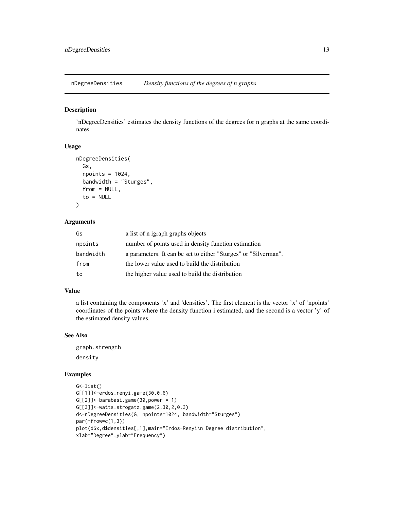<span id="page-12-0"></span>nDegreeDensities *Density functions of the degrees of n graphs*

# Description

'nDegreeDensities' estimates the density functions of the degrees for n graphs at the same coordinates

#### Usage

```
nDegreeDensities(
  Gs,
  npoints = 1024,bandwidth = "Sturges",
  from = NULL,to = NULL
)
```
#### Arguments

| Gs        | a list of n igraph graphs objects                               |
|-----------|-----------------------------------------------------------------|
| npoints   | number of points used in density function estimation            |
| bandwidth | a parameters. It can be set to either "Sturges" or "Silverman". |
| from      | the lower value used to build the distribution                  |
| to        | the higher value used to build the distribution                 |

# Value

a list containing the components 'x' and 'densities'. The first element is the vector 'x' of 'npoints' coordinates of the points where the density function i estimated, and the second is a vector 'y' of the estimated density values.

# See Also

graph.strength density

```
G \leftarrowlist()G[[1]]<-erdos.renyi.game(30,0.6)
G[[2]]<-barabasi.game(30,power = 1)
G[[3]]<-watts.strogatz.game(2,30,2,0.3)
d<-nDegreeDensities(G, npoints=1024, bandwidth="Sturges")
par(mfrow=c(1,3))
plot(d$x,d$densities[,1],main="Erdos-Renyi\n Degree distribution",
xlab="Degree",ylab="Frequency")
```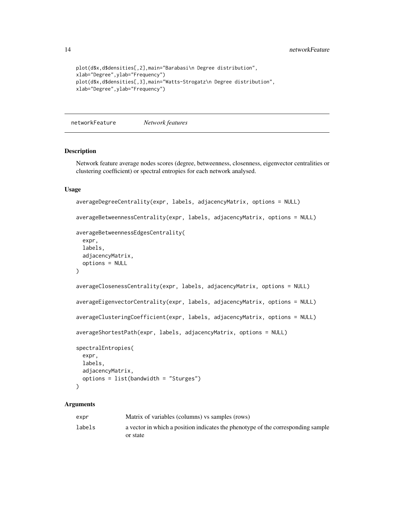```
plot(d$x,d$densities[,2],main="Barabasi\n Degree distribution",
xlab="Degree",ylab="Frequency")
plot(d$x,d$densities[,3],main="Watts-Strogatz\n Degree distribution",
xlab="Degree",ylab="Frequency")
```
networkFeature *Network features*

### Description

Network feature average nodes scores (degree, betweenness, closenness, eigenvector centralities or clustering coefficient) or spectral entropies for each network analysed.

#### Usage

```
averageDegreeCentrality(expr, labels, adjacencyMatrix, options = NULL)
averageBetweennessCentrality(expr, labels, adjacencyMatrix, options = NULL)
averageBetweennessEdgesCentrality(
 expr,
 labels,
 adjacencyMatrix,
 options = NULL
)
averageClosenessCentrality(expr, labels, adjacencyMatrix, options = NULL)
averageEigenvectorCentrality(expr, labels, adjacencyMatrix, options = NULL)
averageClusteringCoefficient(expr, labels, adjacencyMatrix, options = NULL)
averageShortestPath(expr, labels, adjacencyMatrix, options = NULL)
spectralEntropies(
 expr,
 labels,
 adjacencyMatrix,
 options = list(bandwidth = "Sturges")
)
```

| expr   | Matrix of variables (columns) vs samples (rows)                                  |
|--------|----------------------------------------------------------------------------------|
| labels | a vector in which a position indicates the phenotype of the corresponding sample |
|        | or state                                                                         |

<span id="page-13-0"></span>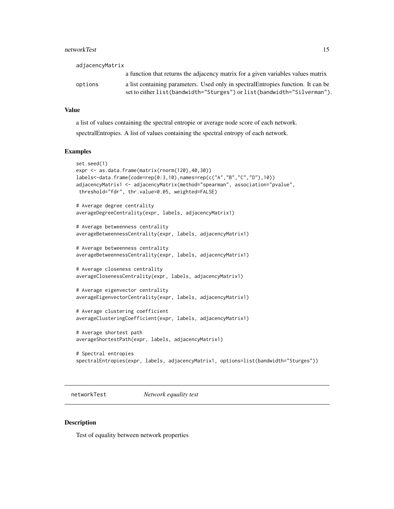#### <span id="page-14-0"></span>networkTest 15

| adjacencyMatrix |                                                                                                                                                                |
|-----------------|----------------------------------------------------------------------------------------------------------------------------------------------------------------|
|                 | a function that returns the adjacency matrix for a given variables values matrix                                                                               |
| options         | a list containing parameters. Used only in spectral Entropies function. It can be<br>set to either list (bandwidth="Sturges") or list (bandwidth="Silverman"). |

#### Value

a list of values containing the spectral entropie or average node score of each network. spectralEntropies. A list of values containing the spectral entropy of each network.

#### Examples

```
set.seed(1)
expr <- as.data.frame(matrix(rnorm(120),40,30))
labels<-data.frame(code=rep(0:3,10),names=rep(c("A","B","C","D"),10))
adjacencyMatrix1 <- adjacencyMatrix(method="spearman", association="pvalue",
threshold="fdr", thr.value=0.05, weighted=FALSE)
# Average degree centrality
averageDegreeCentrality(expr, labels, adjacencyMatrix1)
# Average betweenness centrality
averageBetweennessCentrality(expr, labels, adjacencyMatrix1)
# Average betweenness centrality
averageBetweennessCentrality(expr, labels, adjacencyMatrix1)
# Average closeness centrality
averageClosenessCentrality(expr, labels, adjacencyMatrix1)
# Average eigenvector centrality
averageEigenvectorCentrality(expr, labels, adjacencyMatrix1)
# Average clustering coefficient
averageClusteringCoefficient(expr, labels, adjacencyMatrix1)
# Average shortest path
averageShortestPath(expr, labels, adjacencyMatrix1)
# Spectral entropies
spectralEntropies(expr, labels, adjacencyMatrix1, options=list(bandwidth="Sturges"))
```
networkTest *Network equality test*

#### Description

Test of equality between network properties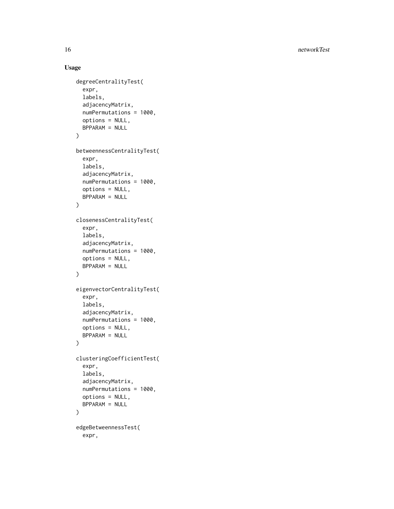16 networkTest and the state of the state of the state of the state of the state of the state of the state of the state of the state of the state of the state of the state of the state of the state of the state of the stat

# Usage

```
degreeCentralityTest(
  expr,
  labels,
  adjacencyMatrix,
  numPermutations = 1000,
  options = NULL,
 BPPARAM = NULL
\mathcal{L}betweennessCentralityTest(
  expr,
  labels,
  adjacencyMatrix,
  numPermutations = 1000,
  options = NULL,
 BPPARAM = NULL
\mathcal{L}closenessCentralityTest(
  expr,
  labels,
  adjacencyMatrix,
  numPermutations = 1000,
  options = NULL,
 BPPARAM = NULL
\mathcal{L}eigenvectorCentralityTest(
  expr,
  labels,
  adjacencyMatrix,
  numPermutations = 1000,
  options = NULL,
  BPPARAM = NULL
\mathcal{L}clusteringCoefficientTest(
  expr,
  labels,
  adjacencyMatrix,
  numPermutations = 1000,
  options = NULL,
 BPPARAM = NULL
)
edgeBetweennessTest(
  expr,
```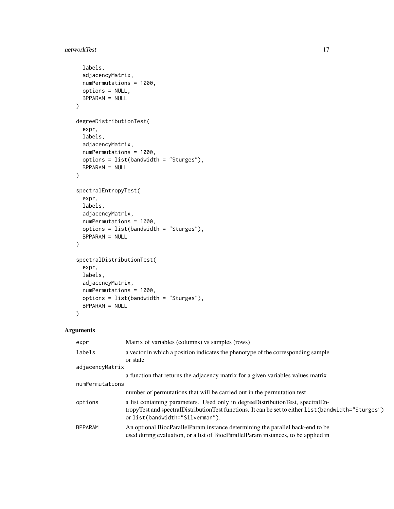# networkTest 17

```
labels,
  adjacencyMatrix,
 numPermutations = 1000,
 options = NULL,
 BPPARAM = NULL
\mathcal{L}degreeDistributionTest(
  expr,
  labels,
  adjacencyMatrix,
  numPermutations = 1000,
  options = list(bandwidth = "Sturges"),
 BPPARAM = NULL
)
spectralEntropyTest(
  expr,
 labels,
  adjacencyMatrix,
 numPermutations = 1000,
 options = list(bandwidth = "Sturges"),
 BPPARAM = NULL
\mathcal{L}spectralDistributionTest(
  expr,
 labels,
  adjacencyMatrix,
 numPermutations = 1000,
  options = list(bandwidth = "Sturges"),
 BPPARAM = NULL
\mathcal{L}
```

| expr            | Matrix of variables (columns) vs samples (rows)                                                                                                                                                                              |
|-----------------|------------------------------------------------------------------------------------------------------------------------------------------------------------------------------------------------------------------------------|
| labels          | a vector in which a position indicates the phenotype of the corresponding sample<br>or state                                                                                                                                 |
| adjacencyMatrix |                                                                                                                                                                                                                              |
|                 | a function that returns the adjacency matrix for a given variables values matrix                                                                                                                                             |
| numPermutations |                                                                                                                                                                                                                              |
|                 | number of permutations that will be carried out in the permutation test                                                                                                                                                      |
| options         | a list containing parameters. Used only in degree Distribution Test, spectral En-<br>tropyTest and spectralDistributionTest functions. It can be set to either list (bandwidth="Sturges")<br>or list(bandwidth="Silverman"). |
| <b>BPPARAM</b>  | An optional BiocParallelParam instance determining the parallel back-end to be<br>used during evaluation, or a list of BiocParallelParam instances, to be applied in                                                         |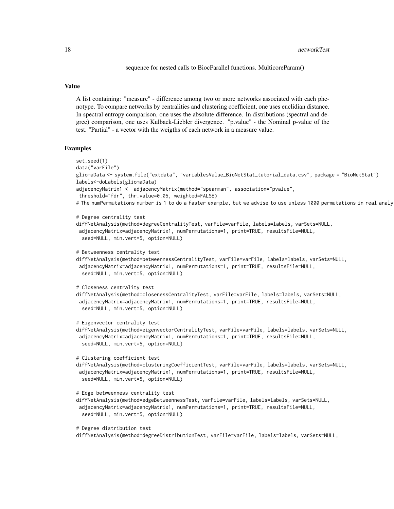#### 18 networkTest and the state of the state of the state of the state of the state of the state of the state of the state of the state of the state of the state of the state of the state of the state of the state of the stat

sequence for nested calls to BiocParallel functions. MulticoreParam()

#### Value

A list containing: "measure" - difference among two or more networks associated with each phenotype. To compare networks by centralities and clustering coefficient, one uses euclidian distance. In spectral entropy comparison, one uses the absolute difference. In distributions (spectral and degree) comparison, one uses Kulback-Liebler divergence. "p.value" - the Nominal p-value of the test. "Partial" - a vector with the weigths of each network in a measure value.

```
set.seed(1)
data("varFile")
gliomaData <- system.file("extdata", "variablesValue_BioNetStat_tutorial_data.csv", package = "BioNetStat")
labels<-doLabels(gliomaData)
adjacencyMatrix1 <- adjacencyMatrix(method="spearman", association="pvalue",
threshold="fdr", thr.value=0.05, weighted=FALSE)
# The numPermutations number is 1 to do a faster example, but we advise to use unless 1000 permutations in real analy
# Degree centrality test
diffNetAnalysis(method=degreeCentralityTest, varFile=varFile, labels=labels, varSets=NULL,
adjacencyMatrix=adjacencyMatrix1, numPermutations=1, print=TRUE, resultsFile=NULL,
 seed=NULL, min.vert=5, option=NULL)
# Betweenness centrality test
diffNetAnalysis(method=betweennessCentralityTest, varFile=varFile, labels=labels, varSets=NULL,
 adjacencyMatrix=adjacencyMatrix1, numPermutations=1, print=TRUE, resultsFile=NULL,
 seed=NULL, min.vert=5, option=NULL)
# Closeness centrality test
diffNetAnalysis(method=closenessCentralityTest, varFile=varFile, labels=labels, varSets=NULL,
 adjacencyMatrix=adjacencyMatrix1, numPermutations=1, print=TRUE, resultsFile=NULL,
  seed=NULL, min.vert=5, option=NULL)
# Eigenvector centrality test
diffNetAnalysis(method=eigenvectorCentralityTest, varFile=varFile, labels=labels, varSets=NULL,
 adjacencyMatrix=adjacencyMatrix1, numPermutations=1, print=TRUE, resultsFile=NULL,
 seed=NULL, min.vert=5, option=NULL)
# Clustering coefficient test
diffNetAnalysis(method=clusteringCoefficientTest, varFile=varFile, labels=labels, varSets=NULL,
 adjacencyMatrix=adjacencyMatrix1, numPermutations=1, print=TRUE, resultsFile=NULL,
 seed=NULL, min.vert=5, option=NULL)
# Edge betweenness centrality test
diffNetAnalysis(method=edgeBetweennessTest, varFile=varFile, labels=labels, varSets=NULL,
 adjacencyMatrix=adjacencyMatrix1, numPermutations=1, print=TRUE, resultsFile=NULL,
 seed=NULL, min.vert=5, option=NULL)
# Degree distribution test
diffNetAnalysis(method=degreeDistributionTest, varFile=varFile, labels=labels, varSets=NULL,
```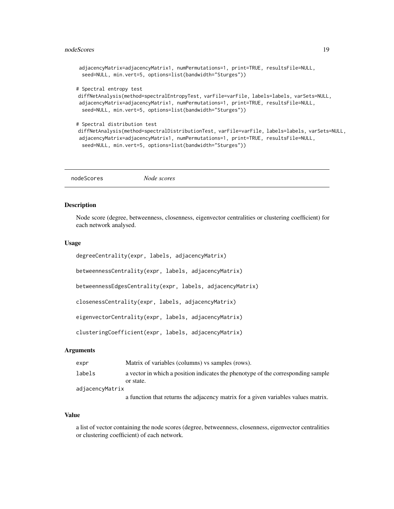#### <span id="page-18-0"></span>nodeScores and the set of the set of the set of the set of the set of the set of the set of the set of the set of the set of the set of the set of the set of the set of the set of the set of the set of the set of the set o

```
adjacencyMatrix=adjacencyMatrix1, numPermutations=1, print=TRUE, resultsFile=NULL,
seed=NULL, min.vert=5, options=list(bandwidth="Sturges"))
```
# Spectral entropy test

```
diffNetAnalysis(method=spectralEntropyTest, varFile=varFile, labels=labels, varSets=NULL,
adjacencyMatrix=adjacencyMatrix1, numPermutations=1, print=TRUE, resultsFile=NULL,
 seed=NULL, min.vert=5, options=list(bandwidth="Sturges"))
```

```
# Spectral distribution test
diffNetAnalysis(method=spectralDistributionTest, varFile=varFile, labels=labels, varSets=NULL,
adjacencyMatrix=adjacencyMatrix1, numPermutations=1, print=TRUE, resultsFile=NULL,
 seed=NULL, min.vert=5, options=list(bandwidth="Sturges"))
```
nodeScores *Node scores*

#### Description

Node score (degree, betweenness, closenness, eigenvector centralities or clustering coefficient) for each network analysed.

# Usage

```
degreeCentrality(expr, labels, adjacencyMatrix)
betweennessCentrality(expr, labels, adjacencyMatrix)
betweennessEdgesCentrality(expr, labels, adjacencyMatrix)
closenessCentrality(expr, labels, adjacencyMatrix)
eigenvectorCentrality(expr, labels, adjacencyMatrix)
```
clusteringCoefficient(expr, labels, adjacencyMatrix)

### **Arguments**

| expr            | Matrix of variables (columns) vs samples (rows).                                  |
|-----------------|-----------------------------------------------------------------------------------|
| labels          | a vector in which a position indicates the phenotype of the corresponding sample  |
|                 | or state.                                                                         |
| adjacencyMatrix |                                                                                   |
|                 | a function that returns the adjacency matrix for a given variables values matrix. |

#### Value

a list of vector containing the node scores (degree, betweenness, closenness, eigenvector centralities or clustering coefficient) of each network.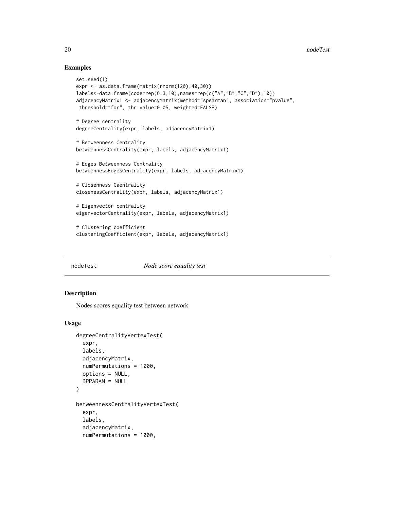### Examples

```
set.seed(1)
expr <- as.data.frame(matrix(rnorm(120),40,30))
labels<-data.frame(code=rep(0:3,10),names=rep(c("A","B","C","D"),10))
adjacencyMatrix1 <- adjacencyMatrix(method="spearman", association="pvalue",
 threshold="fdr", thr.value=0.05, weighted=FALSE)
# Degree centrality
degreeCentrality(expr, labels, adjacencyMatrix1)
# Betweenness Centrality
betweennessCentrality(expr, labels, adjacencyMatrix1)
# Edges Betweenness Centrality
betweennessEdgesCentrality(expr, labels, adjacencyMatrix1)
# Closenness Caentrality
closenessCentrality(expr, labels, adjacencyMatrix1)
# Eigenvector centrality
eigenvectorCentrality(expr, labels, adjacencyMatrix1)
# Clustering coefficient
clusteringCoefficient(expr, labels, adjacencyMatrix1)
```
nodeTest *Node score equality test*

#### Description

Nodes scores equality test between network

#### Usage

```
degreeCentralityVertexTest(
  expr,
  labels,
  adjacencyMatrix,
  numPermutations = 1000,
  options = NULL,
  BPPARAM = NULL
\mathcal{L}betweennessCentralityVertexTest(
  expr,
  labels,
  adjacencyMatrix,
  numPermutations = 1000,
```
<span id="page-19-0"></span>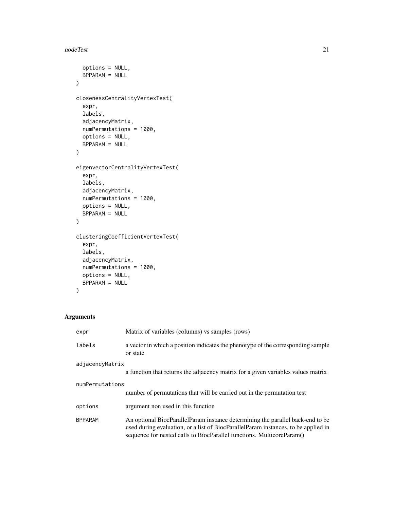```
options = NULL,
 BPPARAM = NULL
\mathcal{L}closenessCentralityVertexTest(
  expr,
 labels,
 adjacencyMatrix,
  numPermutations = 1000,
 options = NULL,
 BPPARAM = NULL
)
eigenvectorCentralityVertexTest(
  expr,
  labels,
  adjacencyMatrix,
 numPermutations = 1000,
 options = NULL,
 BPPARAM = NULL
\mathcal{L}clusteringCoefficientVertexTest(
  expr,
  labels,
  adjacencyMatrix,
 numPermutations = 1000,
  options = NULL,
 BPPARAM = NULL
\mathcal{L}
```

| expr            | Matrix of variables (columns) vs samples (rows)                                                                                                                                                                                               |
|-----------------|-----------------------------------------------------------------------------------------------------------------------------------------------------------------------------------------------------------------------------------------------|
| labels          | a vector in which a position indicates the phenotype of the corresponding sample<br>or state                                                                                                                                                  |
| adjacencyMatrix |                                                                                                                                                                                                                                               |
|                 | a function that returns the adjacency matrix for a given variables values matrix                                                                                                                                                              |
| numPermutations |                                                                                                                                                                                                                                               |
|                 | number of permutations that will be carried out in the permutation test                                                                                                                                                                       |
| options         | argument non used in this function                                                                                                                                                                                                            |
| <b>BPPARAM</b>  | An optional BiocParallelParam instance determining the parallel back-end to be<br>used during evaluation, or a list of BiocParallelParam instances, to be applied in<br>sequence for nested calls to BiocParallel functions. MulticoreParam() |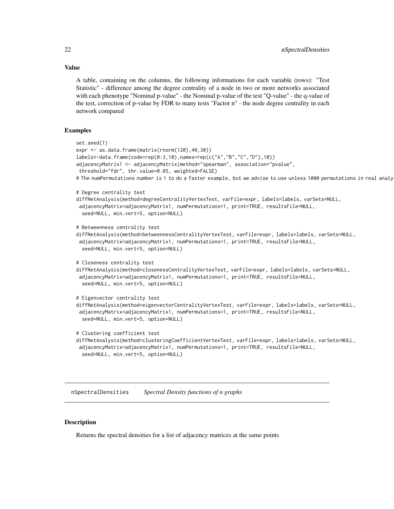A table, containing on the columns, the following informations for each variable (rows): "Test Statistic" - difference among the degree centrality of a node in two or more networks associated with each phenotype "Nominal p-value" - the Nominal p-value of the test "Q-value" - the q-value of the test, correction of p-value by FDR to many tests "Factor n" - the node degree centrality in each network compared

#### Examples

```
set.seed(1)
expr <- as.data.frame(matrix(rnorm(120),40,30))
labels<-data.frame(code=rep(0:3,10),names=rep(c("A","B","C","D"),10))
adjacencyMatrix1 <- adjacencyMatrix(method="spearman", association="pvalue",
threshold="fdr", thr.value=0.05, weighted=FALSE)
# The numPermutations number is 1 to do a faster example, but we advise to use unless 1000 permutations in real analysis
# Degree centrality test
diffNetAnalysis(method=degreeCentralityVertexTest, varFile=expr, labels=labels, varSets=NULL,
 adjacencyMatrix=adjacencyMatrix1, numPermutations=1, print=TRUE, resultsFile=NULL,
  seed=NULL, min.vert=5, option=NULL)
# Betweenness centrality test
diffNetAnalysis(method=betweennessCentralityVertexTest, varFile=expr, labels=labels, varSets=NULL,
adjacencyMatrix=adjacencyMatrix1, numPermutations=1, print=TRUE, resultsFile=NULL,
 seed=NULL, min.vert=5, option=NULL)
# Closeness centrality test
diffNetAnalysis(method=closenessCentralityVertexTest, varFile=expr, labels=labels, varSets=NULL,
 adjacencyMatrix=adjacencyMatrix1, numPermutations=1, print=TRUE, resultsFile=NULL,
 seed=NULL, min.vert=5, option=NULL)
# Eigenvector centrality test
diffNetAnalysis(method=eigenvectorCentralityVertexTest, varFile=expr, labels=labels, varSets=NULL,
 adjacencyMatrix=adjacencyMatrix1, numPermutations=1, print=TRUE, resultsFile=NULL,
 seed=NULL, min.vert=5, option=NULL)
# Clustering coefficient test
diffNetAnalysis(method=clusteringCoefficientVertexTest, varFile=expr, labels=labels, varSets=NULL,
adjacencyMatrix=adjacencyMatrix1, numPermutations=1, print=TRUE, resultsFile=NULL,
 seed=NULL, min.vert=5, option=NULL)
```
nSpectralDensities *Spectral Density functions of n graphs*

#### **Description**

Returns the spectral densities for a list of adjacency matrices at the same points

# <span id="page-21-0"></span>Value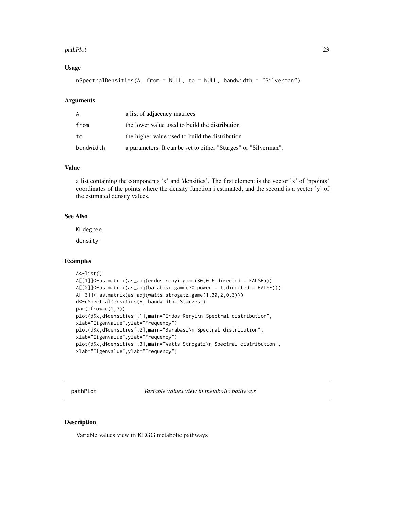#### <span id="page-22-0"></span>pathPlot 23

#### Usage

nSpectralDensities(A, from = NULL, to = NULL, bandwidth = "Silverman")

## Arguments

| A         | a list of adjacency matrices                                    |
|-----------|-----------------------------------------------------------------|
| from      | the lower value used to build the distribution                  |
| to        | the higher value used to build the distribution                 |
| bandwidth | a parameters. It can be set to either "Sturges" or "Silverman". |

#### Value

a list containing the components 'x' and 'densities'. The first element is the vector 'x' of 'npoints' coordinates of the points where the density function i estimated, and the second is a vector 'y' of the estimated density values.

# See Also

KLdegree

density

# Examples

```
A<-list()
A[[1]]<-as.matrix(as_adj(erdos.renyi.game(30,0.6,directed = FALSE)))
A[[2]]<-as.matrix(as_adj(barabasi.game(30,power = 1,directed = FALSE)))
A[[3]]<-as.matrix(as_adj(watts.strogatz.game(1,30,2,0.3)))
d<-nSpectralDensities(A, bandwidth="Sturges")
par(mfrow=c(1,3))
plot(d$x,d$densities[,1],main="Erdos-Renyi\n Spectral distribution",
xlab="Eigenvalue",ylab="Frequency")
plot(d$x,d$densities[,2],main="Barabasi\n Spectral distribution",
xlab="Eigenvalue",ylab="Frequency")
plot(d$x,d$densities[,3],main="Watts-Strogatz\n Spectral distribution",
xlab="Eigenvalue",ylab="Frequency")
```
pathPlot *Variable values view in metabolic pathways*

#### Description

Variable values view in KEGG metabolic pathways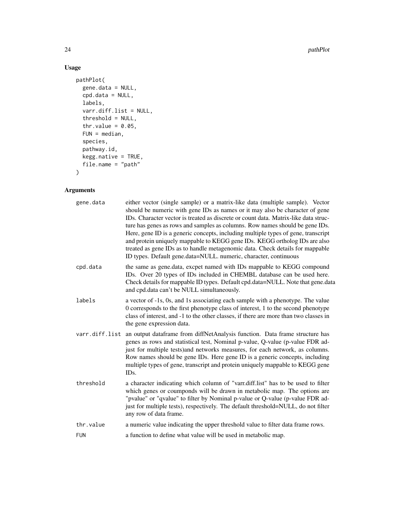24 pathPlot

# Usage

```
pathPlot(
  gene.data = NULL,
  cpd.data = NULL,
  labels,
  varr.diff.list = NULL,
  threshold = NULL,
  thr.value = 0.05,
  FUN = median,
  species,
  pathway.id,
  kegg.native = TRUE,
  file.name = "path"
\mathcal{L}
```

| either vector (single sample) or a matrix-like data (multiple sample). Vector<br>should be numeric with gene IDs as names or it may also be character of gene<br>IDs. Character vector is treated as discrete or count data. Matrix-like data struc-<br>ture has genes as rows and samples as columns. Row names should be gene IDs.<br>Here, gene ID is a generic concepts, including multiple types of gene, transcript<br>and protein uniquely mappable to KEGG gene IDs. KEGG ortholog IDs are also<br>treated as gene IDs as to handle metagenomic data. Check details for mappable<br>ID types. Default gene.data=NULL. numeric, character, continuous |
|--------------------------------------------------------------------------------------------------------------------------------------------------------------------------------------------------------------------------------------------------------------------------------------------------------------------------------------------------------------------------------------------------------------------------------------------------------------------------------------------------------------------------------------------------------------------------------------------------------------------------------------------------------------|
| the same as gene.data, excpet named with IDs mappable to KEGG compound<br>IDs. Over 20 types of IDs included in CHEMBL database can be used here.<br>Check details for mappable ID types. Default cpd.data=NULL. Note that gene.data<br>and cpd.data can't be NULL simultaneously.                                                                                                                                                                                                                                                                                                                                                                           |
| a vector of -1s, 0s, and 1s associating each sample with a phenotype. The value<br>0 corresponds to the first phenotype class of interest, 1 to the second phenotype<br>class of interest, and -1 to the other classes, if there are more than two classes in<br>the gene expression data.                                                                                                                                                                                                                                                                                                                                                                   |
| an output dataframe from diffNetAnalysis function. Data frame structure has<br>genes as rows and statistical test, Nominal p-value, Q-value (p-value FDR ad-<br>just for multiple tests) and networks measures, for each network, as columns.<br>Row names should be gene IDs. Here gene ID is a generic concepts, including<br>multiple types of gene, transcript and protein uniquely mappable to KEGG gene<br>ID <sub>s</sub> .                                                                                                                                                                                                                           |
| a character indicating which column of "varr.diff.list" has to be used to filter<br>which genes or coumponds will be drawn in metabolic map. The options are<br>"pvalue" or "qvalue" to filter by Nominal p-value or Q-value (p-value FDR ad-<br>just for multiple tests), respectively. The default threshold=NULL, do not filter<br>any row of data frame.                                                                                                                                                                                                                                                                                                 |
| a numeric value indicating the upper threshold value to filter data frame rows.                                                                                                                                                                                                                                                                                                                                                                                                                                                                                                                                                                              |
| a function to define what value will be used in metabolic map.                                                                                                                                                                                                                                                                                                                                                                                                                                                                                                                                                                                               |
|                                                                                                                                                                                                                                                                                                                                                                                                                                                                                                                                                                                                                                                              |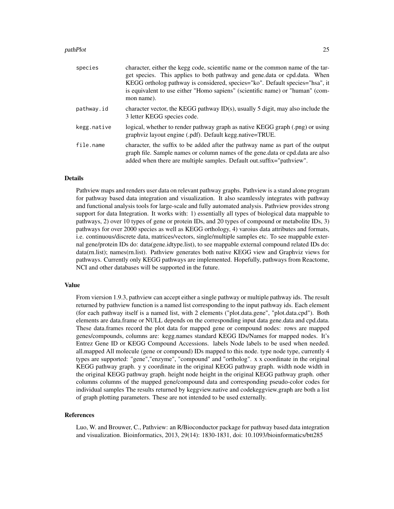#### pathPlot 25

| species     | character, either the kegg code, scientific name or the common name of the tar-<br>get species. This applies to both pathway and gene.data or cpd.data. When<br>KEGG ortholog pathway is considered, species="ko". Default species="hsa", it<br>is equivalent to use either "Homo sapiens" (scientific name) or "human" (com-<br>mon name). |
|-------------|---------------------------------------------------------------------------------------------------------------------------------------------------------------------------------------------------------------------------------------------------------------------------------------------------------------------------------------------|
| pathway.id  | character vector, the KEGG pathway $ID(s)$ , usually 5 digit, may also include the<br>3 letter KEGG species code.                                                                                                                                                                                                                           |
| kegg.native | logical, whether to render pathway graph as native KEGG graph (.png) or using<br>graphviz layout engine (.pdf). Default kegg.native=TRUE.                                                                                                                                                                                                   |
| file.name   | character, the suffix to be added after the pathway name as part of the output<br>graph file. Sample names or column names of the gene.data or cpd.data are also<br>added when there are multiple samples. Default out.suffix="pathview".                                                                                                   |

#### Details

Pathview maps and renders user data on relevant pathway graphs. Pathview is a stand alone program for pathway based data integration and visualization. It also seamlessly integrates with pathway and functional analysis tools for large-scale and fully automated analysis. Pathview provides strong support for data Integration. It works with: 1) essentially all types of biological data mappable to pathways, 2) over 10 types of gene or protein IDs, and 20 types of compound or metabolite IDs, 3) pathways for over 2000 species as well as KEGG orthology, 4) varoius data attributes and formats, i.e. continuous/discrete data, matrices/vectors, single/multiple samples etc. To see mappable external gene/protein IDs do: data(gene.idtype.list), to see mappable external compound related IDs do: data(rn.list); names(rn.list). Pathview generates both native KEGG view and Graphviz views for pathways. Currently only KEGG pathways are implemented. Hopefully, pathways from Reactome, NCI and other databases will be supported in the future.

#### Value

From viersion 1.9.3, pathview can accept either a single pathway or multiple pathway ids. The result returned by pathview function is a named list corresponding to the input pathway ids. Each element (for each pathway itself is a named list, with 2 elements ("plot.data.gene", "plot.data.cpd"). Both elements are data.frame or NULL depends on the corresponding input data gene.data and cpd.data. These data.frames record the plot data for mapped gene or compound nodes: rows are mapped genes/compounds, columns are: kegg.names standard KEGG IDs/Names for mapped nodes. It's Entrez Gene ID or KEGG Compound Accessions. labels Node labels to be used when needed. all.mapped All molecule (gene or compound) IDs mapped to this node. type node type, currently 4 types are supported: "gene","enzyme", "compound" and "ortholog". x x coordinate in the original KEGG pathway graph. y y coordinate in the original KEGG pathway graph. width node width in the original KEGG pathway graph. height node height in the original KEGG pathway graph. other columns columns of the mapped gene/compound data and corresponding pseudo-color codes for individual samples The results returned by keggview.native and codekeggview.graph are both a list of graph plotting parameters. These are not intended to be used externally.

#### References

Luo, W. and Brouwer, C., Pathview: an R/Bioconductor package for pathway based data integration and visualization. Bioinformatics, 2013, 29(14): 1830-1831, doi: 10.1093/bioinformatics/btt285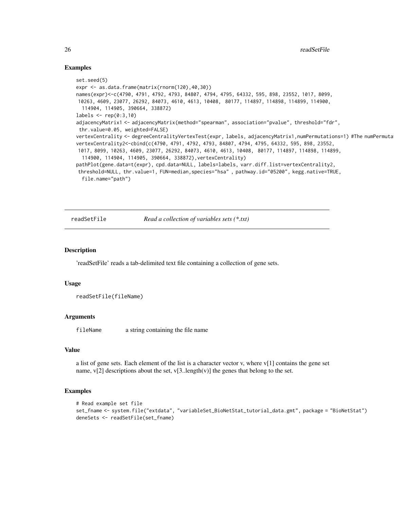#### Examples

```
set.seed(5)
expr <- as.data.frame(matrix(rnorm(120),40,30))
names(expr)<-c(4790, 4791, 4792, 4793, 84807, 4794, 4795, 64332, 595, 898, 23552, 1017, 8099,
10263, 4609, 23077, 26292, 84073, 4610, 4613, 10408, 80177, 114897, 114898, 114899, 114900,
 114904, 114905, 390664, 338872)
labels \leq rep(0:3,10)
adjacencyMatrix1 <- adjacencyMatrix(method="spearman", association="pvalue", threshold="fdr",
thr.value=0.05, weighted=FALSE)
vertexCentrality <- degreeCentralityVertexTest(expr, labels, adjacencyMatrix1,numPermutations=1) #The numPermuta
vertexCentrality2<-cbind(c(4790, 4791, 4792, 4793, 84807, 4794, 4795, 64332, 595, 898, 23552,
1017, 8099, 10263, 4609, 23077, 26292, 84073, 4610, 4613, 10408, 80177, 114897, 114898, 114899,
 114900, 114904, 114905, 390664, 338872),vertexCentrality)
pathPlot(gene.data=t(expr), cpd.data=NULL, labels=labels, varr.diff.list=vertexCentrality2,
threshold=NULL, thr.value=1, FUN=median,species="hsa" , pathway.id="05200", kegg.native=TRUE,
 file.name="path")
```
readSetFile *Read a collection of variables sets (\*.txt)*

#### Description

'readSetFile' reads a tab-delimited text file containing a collection of gene sets.

#### Usage

```
readSetFile(fileName)
```
#### Arguments

fileName a string containing the file name

### Value

a list of gene sets. Each element of the list is a character vector v, where  $v[1]$  contains the gene set name,  $v[2]$  descriptions about the set,  $v[3..length(v)]$  the genes that belong to the set.

```
# Read example set file
set_fname <- system.file("extdata", "variableSet_BioNetStat_tutorial_data.gmt", package = "BioNetStat")
deneSets <- readSetFile(set_fname)
```
<span id="page-25-0"></span>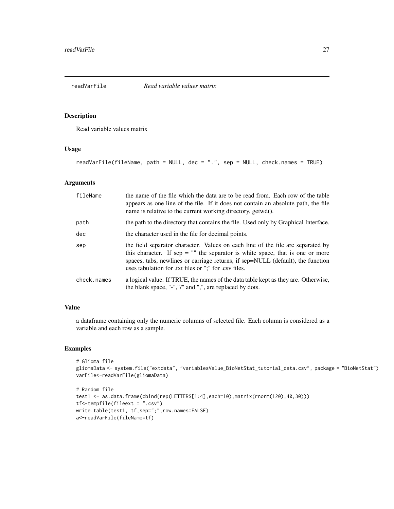<span id="page-26-0"></span>

# Description

Read variable values matrix

#### Usage

readVarFile(fileName, path = NULL, dec = ".", sep = NULL, check.names = TRUE)

# Arguments

| fileName    | the name of the file which the data are to be read from. Each row of the table<br>appears as one line of the file. If it does not contain an absolute path, the file<br>name is relative to the current working directory, getwd().                                                                            |
|-------------|----------------------------------------------------------------------------------------------------------------------------------------------------------------------------------------------------------------------------------------------------------------------------------------------------------------|
| path        | the path to the directory that contains the file. Used only by Graphical Interface.                                                                                                                                                                                                                            |
| dec         | the character used in the file for decimal points.                                                                                                                                                                                                                                                             |
| sep         | the field separator character. Values on each line of the file are separated by<br>this character. If sep $=$ "" the separator is white space, that is one or more<br>spaces, tabs, newlines or carriage returns, if sep=NULL (default), the function<br>uses tabulation for .txt files or ";" for .csv files. |
| check.names | a logical value. If TRUE, the names of the data table kept as they are. Otherwise,<br>the blank space, "-","/" and ",", are replaced by dots.                                                                                                                                                                  |

# Value

a dataframe containing only the numeric columns of selected file. Each column is considered as a variable and each row as a sample.

```
# Glioma file
gliomaData <- system.file("extdata", "variablesValue_BioNetStat_tutorial_data.csv", package = "BioNetStat")
varFile<-readVarFile(gliomaData)
```

```
# Random file
test1 <- as.data.frame(cbind(rep(LETTERS[1:4],each=10),matrix(rnorm(120),40,30)))
tf<-tempfile(fileext = ".csv")
write.table(test1, tf,sep=";",row.names=FALSE)
a<-readVarFile(fileName=tf)
```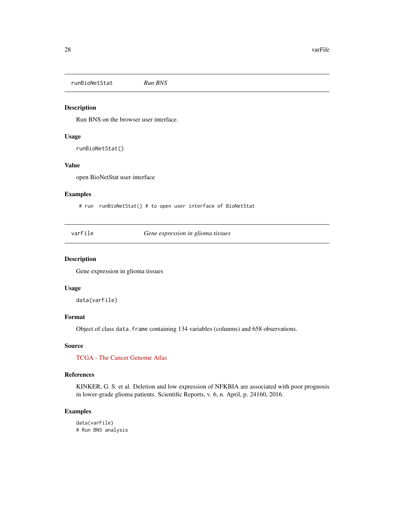<span id="page-27-0"></span>runBioNetStat *Run BNS*

# Description

Run BNS on the browser user interface.

#### Usage

runBioNetStat()

#### Value

open BioNetStat user interface

# Examples

# run runBioNetStat() # to open user interface of BioNetStat

varFile *Gene expression in glioma tissues*

# Description

Gene expression in glioma tissues

#### Usage

data(varFile)

#### Format

Object of class data.frame containing 134 variables (colunms) and 658 observations.

# Source

[TCGA - The Cancer Genome Atlas](https://cancergenome.nih.gov/)

# References

KINKER, G. S. et al. Deletion and low expression of NFKBIA are associated with poor prognosis in lower-grade glioma patients. Scientific Reports, v. 6, n. April, p. 24160, 2016.

# Examples

data(varFile) # Run BNS analysis